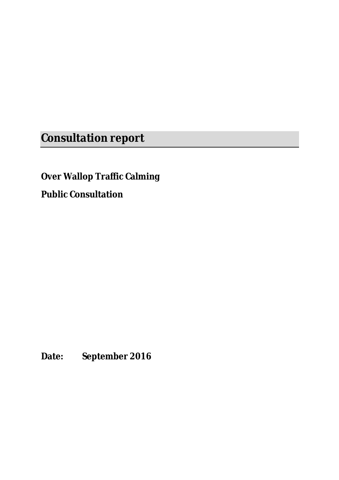**Consultation report**

**Over Wallop Traffic Calming** 

**Public Consultation**

**Date: September 2016**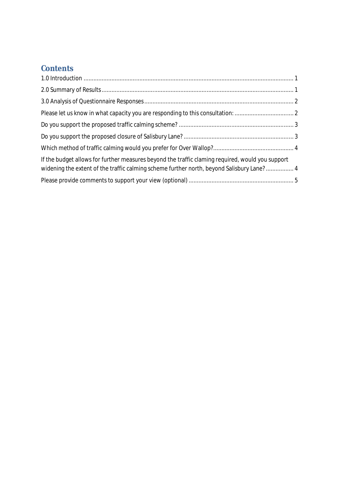# **Contents**

| If the budget allows for further measures beyond the traffic claming required, would you support<br>widening the extent of the traffic calming scheme further north, beyond Salisbury Lane? 4 |  |
|-----------------------------------------------------------------------------------------------------------------------------------------------------------------------------------------------|--|
|                                                                                                                                                                                               |  |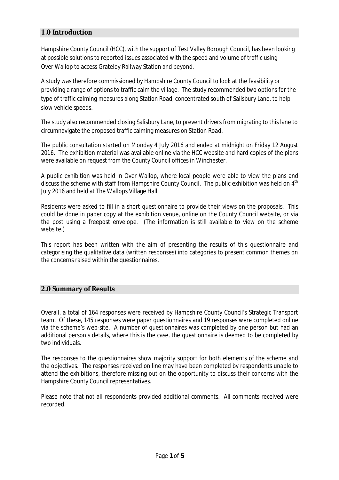## **1.0 Introduction**

Hampshire County Council (HCC), with the support of Test Valley Borough Council, has been looking at possible solutions to reported issues associated with the speed and volume of traffic using Over Wallop to access Grateley Railway Station and beyond.

A study was therefore commissioned by Hampshire County Council to look at the feasibility or providing a range of options to traffic calm the village. The study recommended two options for the type of traffic calming measures along Station Road, concentrated south of Salisbury Lane, to help slow vehicle speeds.

The study also recommended closing Salisbury Lane, to prevent drivers from migrating to this lane to circumnavigate the proposed traffic calming measures on Station Road.

The public consultation started on Monday 4 July 2016 and ended at midnight on Friday 12 August 2016. The exhibition material was available online via the HCC website and hard copies of the plans were available on request from the County Council offices in Winchester.

A public exhibition was held in Over Wallop, where local people were able to view the plans and discuss the scheme with staff from Hampshire County Council. The public exhibition was held on 4<sup>th</sup> July 2016 and held at The Wallops Village Hall

Residents were asked to fill in a short questionnaire to provide their views on the proposals. This could be done in paper copy at the exhibition venue, online on the County Council website, or via the post using a freepost envelope. (The information is still available to view on the scheme website.)

This report has been written with the aim of presenting the results of this questionnaire and categorising the qualitative data (written responses) into categories to present common themes on the concerns raised within the questionnaires.

### **2.0 Summary of Results**

Overall, a total of 164 responses were received by Hampshire County Council's Strategic Transport team. Of these, 145 responses were paper questionnaires and 19 responses were completed online via the scheme's web-site. A number of questionnaires was completed by one person but had an additional person's details, where this is the case, the questionnaire is deemed to be completed by two individuals.

The responses to the questionnaires show majority support for both elements of the scheme and the objectives. The responses received on line may have been completed by respondents unable to attend the exhibitions, therefore missing out on the opportunity to discuss their concerns with the Hampshire County Council representatives.

Please note that not all respondents provided additional comments. All comments received were recorded.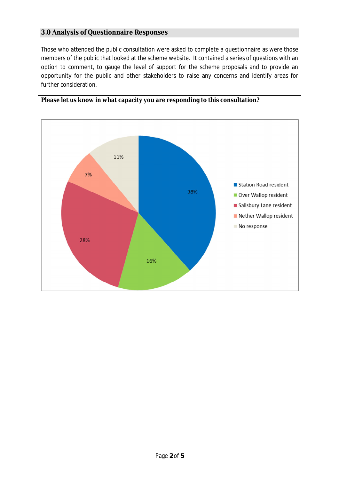## **3.0 Analysis of Questionnaire Responses**

Those who attended the public consultation were asked to complete a questionnaire as were those members of the public that looked at the scheme website. It contained a series of questions with an option to comment, to gauge the level of support for the scheme proposals and to provide an opportunity for the public and other stakeholders to raise any concerns and identify areas for further consideration.



**Please let us know in what capacity you are responding to this consultation?**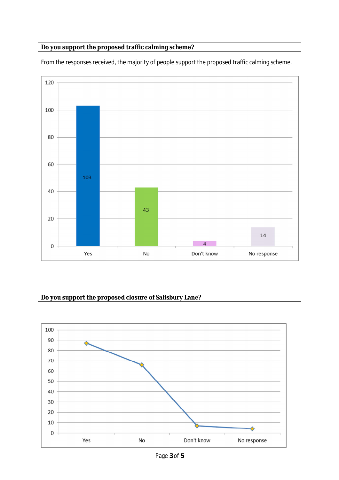## **Do you support the proposed traffic calming scheme?**



From the responses received, the majority of people support the proposed traffic calming scheme.

## **Do you support the proposed closure of Salisbury Lane?**

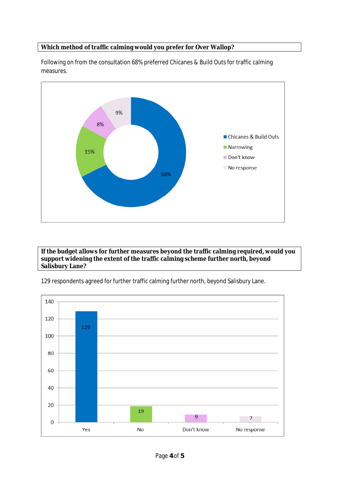## **Which method of traffic calming would you prefer for Over Wallop?**



Following on from the consultation 68% preferred Chicanes & Build Outs for traffic calming measures.

**If the budget allows for further measures beyond the traffic calming required, would you support widening the extent of the traffic calming scheme further north, beyond Salisbury Lane?**

129 respondents agreed for further traffic calming further north, beyond Salisbury Lane.